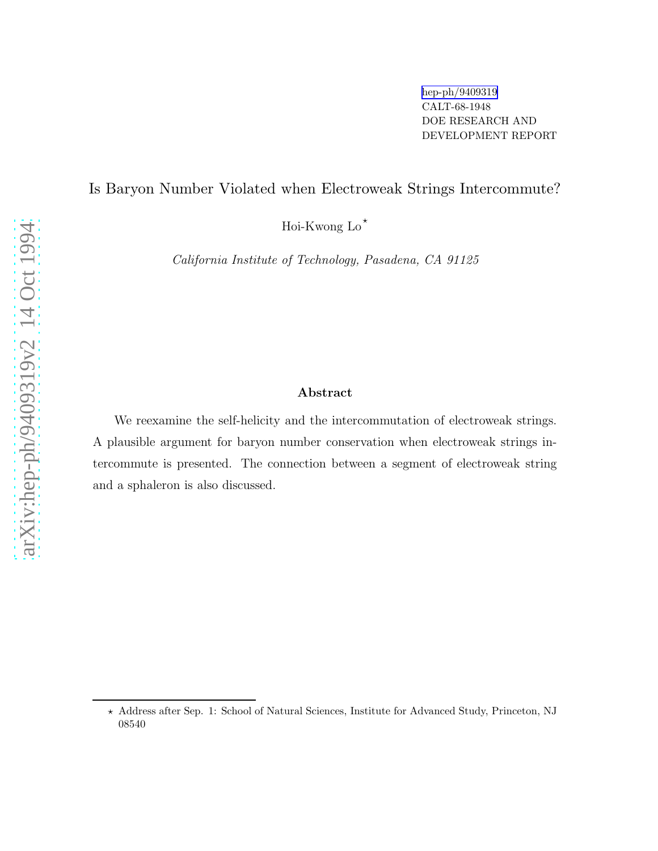## Is Baryon Number Violated when Electroweak Strings Intercommute?

Hoi-Kwong  $Lo^*$ 

California Institute of Technology, Pasadena, CA 91125

## Abstract

We reexamine the self-helicity and the intercommutation of electroweak strings. A plausible argument for baryon number conservation when electroweak strings intercommute is presented. The connection between a segment of electroweak string and a sphaleron is also discussed.

<sup>⋆</sup> Address after Sep. 1: School of Natural Sciences, Institute for Advanced Study, Princeton, NJ 08540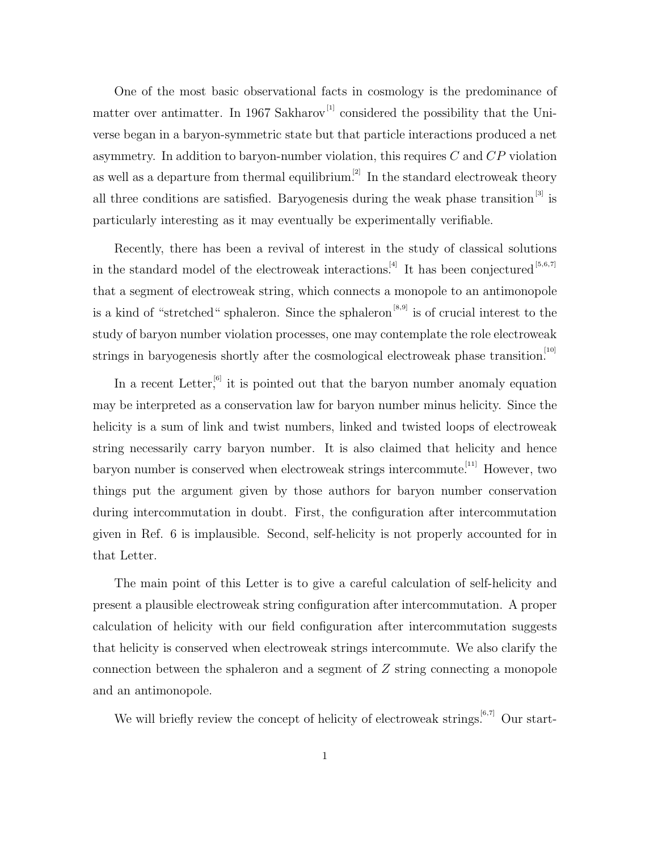One of the most basic observational facts in cosmology is the predominance of matter over antimatter. In 1967 Sakharov<sup>[1]</sup> considered the possibility that the Universe began in a baryon-symmetric state but that particle interactions produced a net asymmetry. In addition to baryon-number violation, this requires  $C$  and  $\overline{CP}$  violation as well as a departure from thermal equilibrium.<sup>[2]</sup> In the standard electroweak theory all three conditions are satisfied. Baryogenesis during the weak phase transition<sup>[3]</sup> is particularly interesting as it may eventually be experimentally verifiable.

Recently, there has been a revival of interest in the study of classical solutions in the standard model of the electroweak interactions.<sup>[4]</sup> It has been conjectured  $[5,6,7]$ that a segment of electroweak string, which connects a monopole to an antimonopole is a kind of "stretched" sphaleron. Since the sphaleron<sup>[8,9]</sup> is of crucial interest to the study of baryon number violation processes, one may contemplate the role electroweak strings in baryogenesis shortly after the cosmological electroweak phase transition.<sup>[10]</sup>

In a recent Letter, it is pointed out that the baryon number anomaly equation may be interpreted as a conservation law for baryon number minus helicity. Since the helicity is a sum of link and twist numbers, linked and twisted loops of electroweak string necessarily carry baryon number. It is also claimed that helicity and hence baryon number is conserved when electroweak strings intercommute.<sup>[11]</sup> However, two things put the argument given by those authors for baryon number conservation during intercommutation in doubt. First, the configuration after intercommutation given in Ref. 6 is implausible. Second, self-helicity is not properly accounted for in that Letter.

The main point of this Letter is to give a careful calculation of self-helicity and present a plausible electroweak string configuration after intercommutation. A proper calculation of helicity with our field configuration after intercommutation suggests that helicity is conserved when electroweak strings intercommute. We also clarify the connection between the sphaleron and a segment of Z string connecting a monopole and an antimonopole.

We will briefly review the concept of helicity of electroweak strings.<sup>[6,7]</sup> Our start-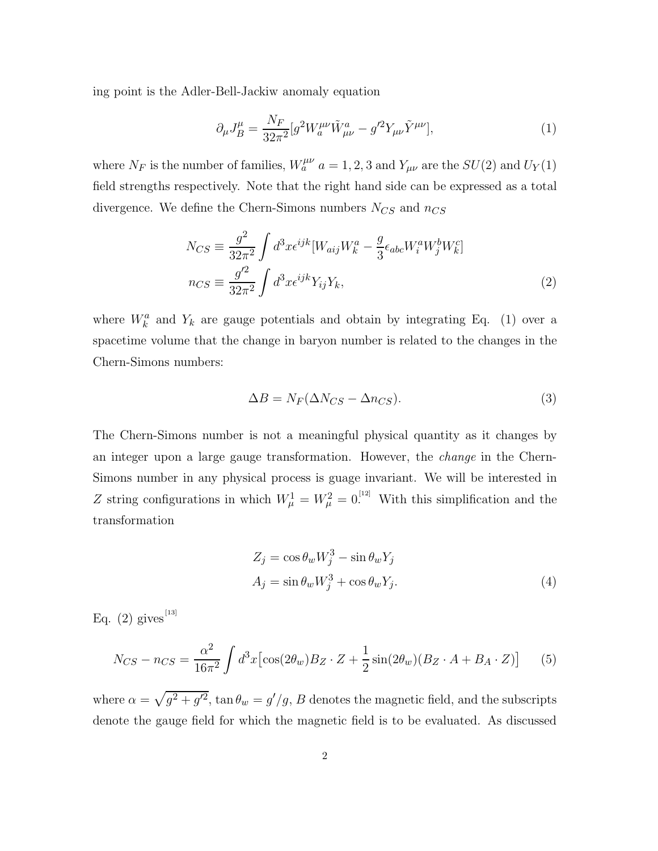ing point is the Adler-Bell-Jackiw anomaly equation

$$
\partial_{\mu}J_{B}^{\mu} = \frac{N_{F}}{32\pi^{2}} [g^{2}W_{a}^{\mu\nu}\tilde{W}_{\mu\nu}^{a} - g^{\prime 2}Y_{\mu\nu}\tilde{Y}^{\mu\nu}], \qquad (1)
$$

where  $N_F$  is the number of families,  $W_a^{\mu\nu}$   $a = 1, 2, 3$  and  $Y_{\mu\nu}$  are the  $SU(2)$  and  $U_Y(1)$ field strengths respectively. Note that the right hand side can be expressed as a total divergence. We define the Chern-Simons numbers  $N_{CS}$  and  $n_{CS}$ 

$$
N_{CS} \equiv \frac{g^2}{32\pi^2} \int d^3x \epsilon^{ijk} [W_{aij}W_k^a - \frac{g}{3} \epsilon_{abc} W_i^a W_j^b W_k^c]
$$
  

$$
n_{CS} \equiv \frac{g'^2}{32\pi^2} \int d^3x \epsilon^{ijk} Y_{ij} Y_k,
$$
 (2)

where  $W_k^a$  and  $Y_k$  are gauge potentials and obtain by integrating Eq. (1) over a spacetime volume that the change in baryon number is related to the changes in the Chern-Simons numbers:

$$
\Delta B = N_F (\Delta N_{CS} - \Delta n_{CS}).\tag{3}
$$

The Chern-Simons number is not a meaningful physical quantity as it changes by an integer upon a large gauge transformation. However, the change in the Chern-Simons number in any physical process is guage invariant. We will be interested in Z string configurations in which  $W^1_\mu = W^2_\mu = 0^{12}$ . With this simplification and the transformation

$$
Z_j = \cos \theta_w W_j^3 - \sin \theta_w Y_j
$$
  
\n
$$
A_j = \sin \theta_w W_j^3 + \cos \theta_w Y_j.
$$
\n(4)

Eq. (2) gives<sup>[13]</sup>

$$
N_{CS} - n_{CS} = \frac{\alpha^2}{16\pi^2} \int d^3x \left[ \cos(2\theta_w) B_Z \cdot Z + \frac{1}{2} \sin(2\theta_w) (B_Z \cdot A + B_A \cdot Z) \right] \tag{5}
$$

where  $\alpha = \sqrt{g^2 + g'^2}$ ,  $\tan \theta_w = g'/g$ , B denotes the magnetic field, and the subscripts denote the gauge field for which the magnetic field is to be evaluated. As discussed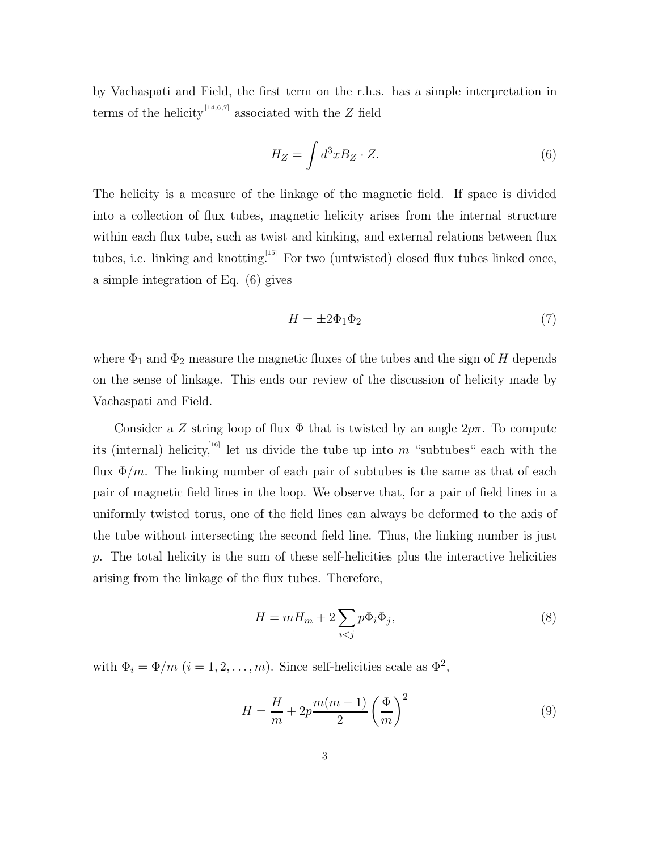by Vachaspati and Field, the first term on the r.h.s. has a simple interpretation in terms of the helicity<sup>[14,6,7]</sup> associated with the Z field

$$
H_Z = \int d^3x B_Z \cdot Z. \tag{6}
$$

The helicity is a measure of the linkage of the magnetic field. If space is divided into a collection of flux tubes, magnetic helicity arises from the internal structure within each flux tube, such as twist and kinking, and external relations between flux tubes, i.e. linking and knotting.<sup>[15]</sup> For two (untwisted) closed flux tubes linked once, a simple integration of Eq. (6) gives

$$
H = \pm 2\Phi_1 \Phi_2 \tag{7}
$$

where  $\Phi_1$  and  $\Phi_2$  measure the magnetic fluxes of the tubes and the sign of H depends on the sense of linkage. This ends our review of the discussion of helicity made by Vachaspati and Field.

Consider a Z string loop of flux  $\Phi$  that is twisted by an angle  $2p\pi$ . To compute its (internal) helicity,<sup>[16]</sup> let us divide the tube up into m "subtubes" each with the flux  $\Phi/m$ . The linking number of each pair of subtubes is the same as that of each pair of magnetic field lines in the loop. We observe that, for a pair of field lines in a uniformly twisted torus, one of the field lines can always be deformed to the axis of the tube without intersecting the second field line. Thus, the linking number is just  $p$ . The total helicity is the sum of these self-helicities plus the interactive helicities arising from the linkage of the flux tubes. Therefore,

$$
H = mH_m + 2\sum_{i < j} p\Phi_i \Phi_j,\tag{8}
$$

with  $\Phi_i = \Phi/m$   $(i = 1, 2, ..., m)$ . Since self-helicities scale as  $\Phi^2$ ,

$$
H = \frac{H}{m} + 2p \frac{m(m-1)}{2} \left(\frac{\Phi}{m}\right)^2 \tag{9}
$$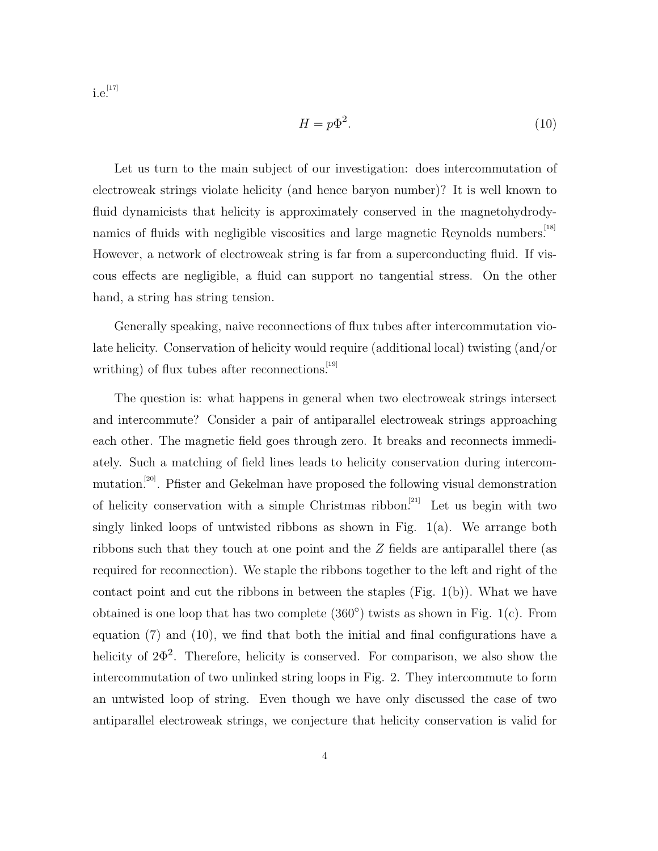$\mathrm{i.e.}^{^{[17]}}$ 

$$
H = p\Phi^2.
$$
 (10)

Let us turn to the main subject of our investigation: does intercommutation of electroweak strings violate helicity (and hence baryon number)? It is well known to fluid dynamicists that helicity is approximately conserved in the magnetohydrodynamics of fluids with negligible viscosities and large magnetic Reynolds numbers.<sup>[18]</sup> However, a network of electroweak string is far from a superconducting fluid. If viscous effects are negligible, a fluid can support no tangential stress. On the other hand, a string has string tension.

Generally speaking, naive reconnections of flux tubes after intercommutation violate helicity. Conservation of helicity would require (additional local) twisting (and/or writhing) of flux tubes after reconnections.  $[19]$ 

The question is: what happens in general when two electroweak strings intersect and intercommute? Consider a pair of antiparallel electroweak strings approaching each other. The magnetic field goes through zero. It breaks and reconnects immediately. Such a matching of field lines leads to helicity conservation during intercommutation.[20]. Pfister and Gekelman have proposed the following visual demonstration of helicity conservation with a simple Christmas ribbon.<sup>[21]</sup> Let us begin with two singly linked loops of untwisted ribbons as shown in Fig. 1(a). We arrange both ribbons such that they touch at one point and the Z fields are antiparallel there (as required for reconnection). We staple the ribbons together to the left and right of the contact point and cut the ribbons in between the staples (Fig.  $1(b)$ ). What we have obtained is one loop that has two complete  $(360^{\circ})$  twists as shown in Fig. 1(c). From equation (7) and (10), we find that both the initial and final configurations have a helicity of  $2\Phi^2$ . Therefore, helicity is conserved. For comparison, we also show the intercommutation of two unlinked string loops in Fig. 2. They intercommute to form an untwisted loop of string. Even though we have only discussed the case of two antiparallel electroweak strings, we conjecture that helicity conservation is valid for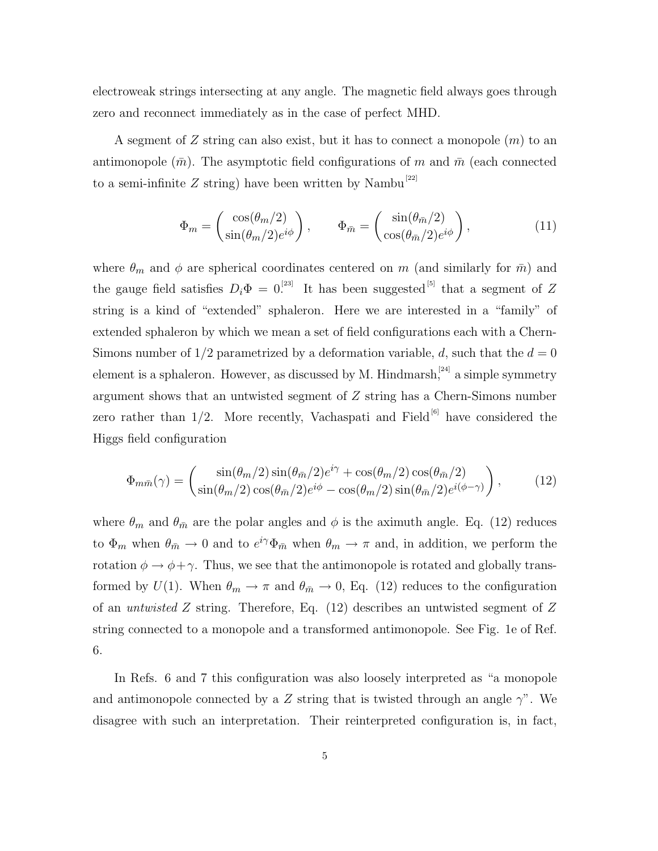electroweak strings intersecting at any angle. The magnetic field always goes through zero and reconnect immediately as in the case of perfect MHD.

A segment of  $Z$  string can also exist, but it has to connect a monopole  $(m)$  to an antimonopole  $(\bar{m})$ . The asymptotic field configurations of m and  $\bar{m}$  (each connected to a semi-infinite Z string) have been written by Nambu<sup>[22]</sup>

$$
\Phi_m = \begin{pmatrix} \cos(\theta_m/2) \\ \sin(\theta_m/2)e^{i\phi} \end{pmatrix}, \qquad \Phi_{\bar{m}} = \begin{pmatrix} \sin(\theta_{\bar{m}}/2) \\ \cos(\theta_{\bar{m}}/2)e^{i\phi} \end{pmatrix}, \tag{11}
$$

where  $\theta_m$  and  $\phi$  are spherical coordinates centered on m (and similarly for  $\bar{m}$ ) and the gauge field satisfies  $D_i\Phi = 0$ .<sup>[23]</sup> It has been suggested<sup>[5]</sup> that a segment of Z string is a kind of "extended" sphaleron. Here we are interested in a "family" of extended sphaleron by which we mean a set of field configurations each with a Chern-Simons number of  $1/2$  parametrized by a deformation variable, d, such that the  $d = 0$ element is a sphaleron. However, as discussed by M. Hindmarsh,<sup>[24]</sup> a simple symmetry argument shows that an untwisted segment of Z string has a Chern-Simons number zero rather than  $1/2$ . More recently, Vachaspati and Field<sup>[6]</sup> have considered the Higgs field configuration

$$
\Phi_{m\bar{m}}(\gamma) = \begin{pmatrix} \sin(\theta_m/2)\sin(\theta_{\bar{m}}/2)e^{i\gamma} + \cos(\theta_m/2)\cos(\theta_{\bar{m}}/2) \\ \sin(\theta_m/2)\cos(\theta_{\bar{m}}/2)e^{i\phi} - \cos(\theta_m/2)\sin(\theta_{\bar{m}}/2)e^{i(\phi-\gamma)} \end{pmatrix},
$$
(12)

where  $\theta_m$  and  $\theta_{\bar{m}}$  are the polar angles and  $\phi$  is the aximuth angle. Eq. (12) reduces to  $\Phi_m$  when  $\theta_{\bar{m}} \to 0$  and to  $e^{i\gamma} \Phi_{\bar{m}}$  when  $\theta_m \to \pi$  and, in addition, we perform the rotation  $\phi \to \phi + \gamma$ . Thus, we see that the antimonopole is rotated and globally transformed by  $U(1)$ . When  $\theta_m \to \pi$  and  $\theta_{\bar{m}} \to 0$ , Eq. (12) reduces to the configuration of an untwisted Z string. Therefore, Eq. (12) describes an untwisted segment of Z string connected to a monopole and a transformed antimonopole. See Fig. 1e of Ref. 6.

In Refs. 6 and 7 this configuration was also loosely interpreted as "a monopole and antimonopole connected by a Z string that is twisted through an angle  $\gamma$ ". We disagree with such an interpretation. Their reinterpreted configuration is, in fact,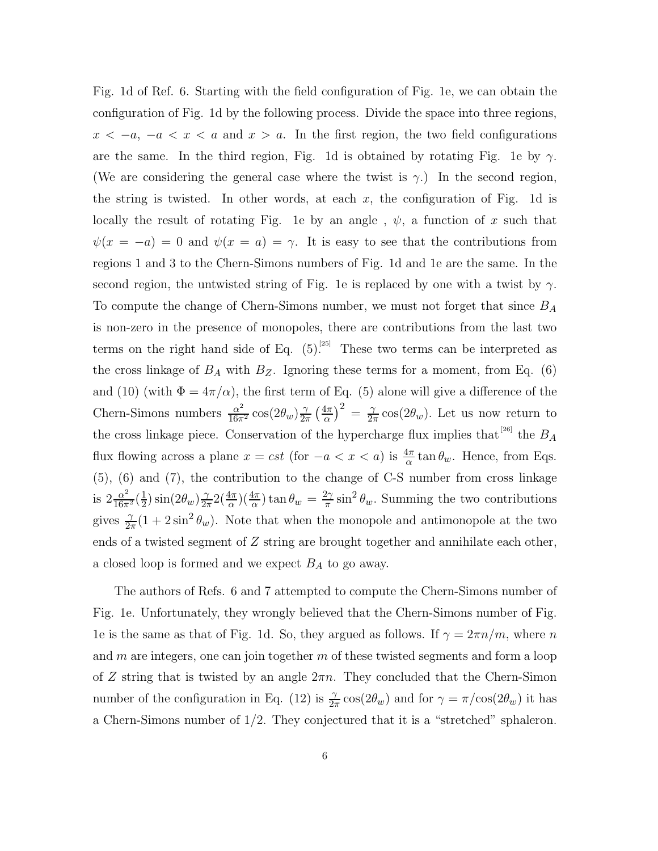Fig. 1d of Ref. 6. Starting with the field configuration of Fig. 1e, we can obtain the configuration of Fig. 1d by the following process. Divide the space into three regions,  $x < -a$ ,  $-a < x < a$  and  $x > a$ . In the first region, the two field configurations are the same. In the third region, Fig. 1d is obtained by rotating Fig. 1e by  $\gamma$ . (We are considering the general case where the twist is  $\gamma$ .) In the second region, the string is twisted. In other words, at each  $x$ , the configuration of Fig. 1d is locally the result of rotating Fig. 1e by an angle,  $\psi$ , a function of x such that  $\psi(x = -a) = 0$  and  $\psi(x = a) = \gamma$ . It is easy to see that the contributions from regions 1 and 3 to the Chern-Simons numbers of Fig. 1d and 1e are the same. In the second region, the untwisted string of Fig. 1e is replaced by one with a twist by  $\gamma$ . To compute the change of Chern-Simons number, we must not forget that since  $B_A$ is non-zero in the presence of monopoles, there are contributions from the last two terms on the right hand side of Eq.  $(5)$ <sup>[25]</sup> These two terms can be interpreted as the cross linkage of  $B_A$  with  $B_Z$ . Ignoring these terms for a moment, from Eq. (6) and (10) (with  $\Phi = 4\pi/\alpha$ ), the first term of Eq. (5) alone will give a difference of the Chern-Simons numbers  $\frac{\alpha^2}{16\pi^2} \cos(2\theta_w) \frac{\gamma}{2\pi}$  $rac{\gamma}{2\pi}$   $\left(\frac{4\pi}{\alpha}\right)$  $\frac{4\pi}{\alpha}$ ) $^2$  =  $\frac{\gamma}{2\pi}$  $\frac{\gamma}{2\pi}\cos(2\theta_w)$ . Let us now return to the cross linkage piece. Conservation of the hypercharge flux implies that  $^{[26]}$  the  $B_A$ flux flowing across a plane  $x = cst$  (for  $-a < x < a$ ) is  $\frac{4\pi}{\alpha} \tan \theta_w$ . Hence, from Eqs. (5), (6) and (7), the contribution to the change of C-S number from cross linkage is  $2\frac{\alpha^2}{16\pi}$  $\frac{\alpha^2}{16\pi^2}(\frac{1}{2})$  $\frac{1}{2}$ )  $\sin(2\theta_w) \frac{\gamma}{2\pi}$  $\frac{\gamma}{2\pi} 2(\frac{4\pi}{\alpha})(\frac{4\pi}{\alpha})\tan\theta_w = \frac{2\gamma}{\pi}$  $\frac{2\gamma}{\pi}\sin^2\theta_w$ . Summing the two contributions gives  $\frac{\gamma}{2\pi}(1+2\sin^2\theta_w)$ . Note that when the monopole and antimonopole at the two ends of a twisted segment of Z string are brought together and annihilate each other, a closed loop is formed and we expect  $B_A$  to go away.

The authors of Refs. 6 and 7 attempted to compute the Chern-Simons number of Fig. 1e. Unfortunately, they wrongly believed that the Chern-Simons number of Fig. 1e is the same as that of Fig. 1d. So, they argued as follows. If  $\gamma = 2\pi n/m$ , where n and  $m$  are integers, one can join together  $m$  of these twisted segments and form a loop of Z string that is twisted by an angle  $2\pi n$ . They concluded that the Chern-Simon number of the configuration in Eq. (12) is  $\frac{\gamma}{2\pi} \cos(2\theta_w)$  and for  $\gamma = \pi/\cos(2\theta_w)$  it has a Chern-Simons number of  $1/2$ . They conjectured that it is a "stretched" sphaleron.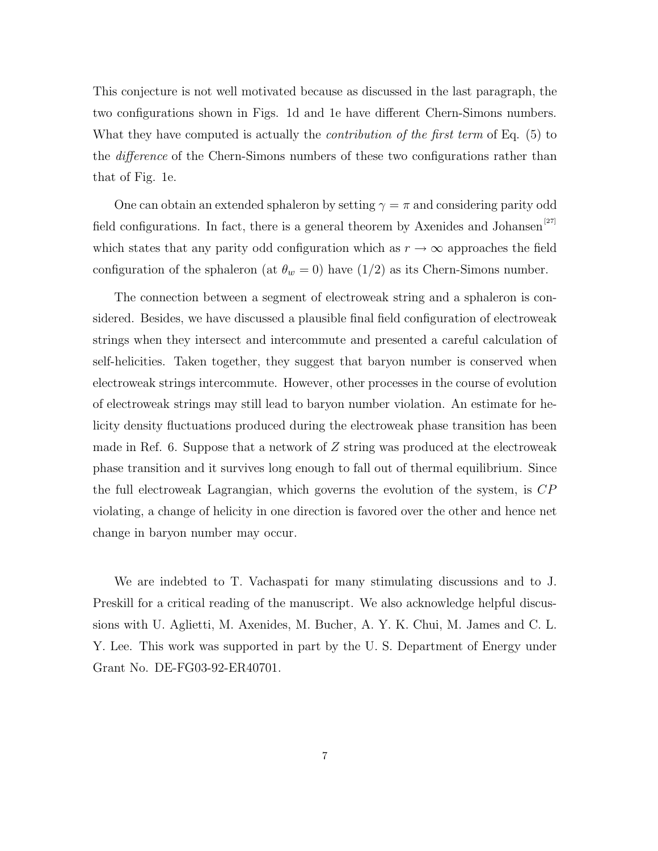This conjecture is not well motivated because as discussed in the last paragraph, the two configurations shown in Figs. 1d and 1e have different Chern-Simons numbers. What they have computed is actually the *contribution of the first term* of Eq. (5) to the difference of the Chern-Simons numbers of these two configurations rather than that of Fig. 1e.

One can obtain an extended sphaleron by setting  $\gamma = \pi$  and considering parity odd field configurations. In fact, there is a general theorem by Axenides and Johansen<sup>[27]</sup> which states that any parity odd configuration which as  $r \to \infty$  approaches the field configuration of the sphaleron (at  $\theta_w = 0$ ) have (1/2) as its Chern-Simons number.

The connection between a segment of electroweak string and a sphaleron is considered. Besides, we have discussed a plausible final field configuration of electroweak strings when they intersect and intercommute and presented a careful calculation of self-helicities. Taken together, they suggest that baryon number is conserved when electroweak strings intercommute. However, other processes in the course of evolution of electroweak strings may still lead to baryon number violation. An estimate for helicity density fluctuations produced during the electroweak phase transition has been made in Ref. 6. Suppose that a network of  $Z$  string was produced at the electroweak phase transition and it survives long enough to fall out of thermal equilibrium. Since the full electroweak Lagrangian, which governs the evolution of the system, is CP violating, a change of helicity in one direction is favored over the other and hence net change in baryon number may occur.

We are indebted to T. Vachaspati for many stimulating discussions and to J. Preskill for a critical reading of the manuscript. We also acknowledge helpful discussions with U. Aglietti, M. Axenides, M. Bucher, A. Y. K. Chui, M. James and C. L. Y. Lee. This work was supported in part by the U. S. Department of Energy under Grant No. DE-FG03-92-ER40701.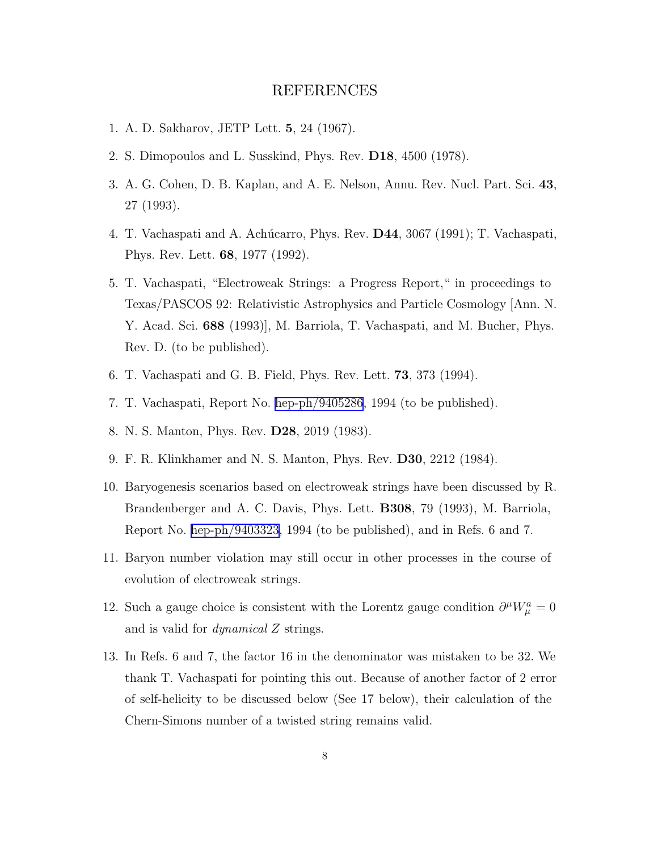## REFERENCES

- 1. A. D. Sakharov, JETP Lett. 5, 24 (1967).
- 2. S. Dimopoulos and L. Susskind, Phys. Rev. D18, 4500 (1978).
- 3. A. G. Cohen, D. B. Kaplan, and A. E. Nelson, Annu. Rev. Nucl. Part. Sci. 43, 27 (1993).
- 4. T. Vachaspati and A. Achúcarro, Phys. Rev. **D44**, 3067 (1991); T. Vachaspati, Phys. Rev. Lett. 68, 1977 (1992).
- 5. T. Vachaspati, "Electroweak Strings: a Progress Report," in proceedings to Texas/PASCOS 92: Relativistic Astrophysics and Particle Cosmology [Ann. N. Y. Acad. Sci. 688 (1993)], M. Barriola, T. Vachaspati, and M. Bucher, Phys. Rev. D. (to be published).
- 6. T. Vachaspati and G. B. Field, Phys. Rev. Lett. 73, 373 (1994).
- 7. T. Vachaspati, Report No. [hep-ph/9405286](http://arxiv.org/abs/hep-ph/9405286), 1994 (to be published).
- 8. N. S. Manton, Phys. Rev. D28, 2019 (1983).
- 9. F. R. Klinkhamer and N. S. Manton, Phys. Rev. D30, 2212 (1984).
- 10. Baryogenesis scenarios based on electroweak strings have been discussed by R. Brandenberger and A. C. Davis, Phys. Lett. B308, 79 (1993), M. Barriola, Report No. [hep-ph/9403323,](http://arxiv.org/abs/hep-ph/9403323) 1994 (to be published), and in Refs. 6 and 7.
- 11. Baryon number violation may still occur in other processes in the course of evolution of electroweak strings.
- 12. Such a gauge choice is consistent with the Lorentz gauge condition  $\partial^{\mu}W_{\mu}^{a}=0$ and is valid for  $dynamical Z$  strings.
- 13. In Refs. 6 and 7, the factor 16 in the denominator was mistaken to be 32. We thank T. Vachaspati for pointing this out. Because of another factor of 2 error of self-helicity to be discussed below (See 17 below), their calculation of the Chern-Simons number of a twisted string remains valid.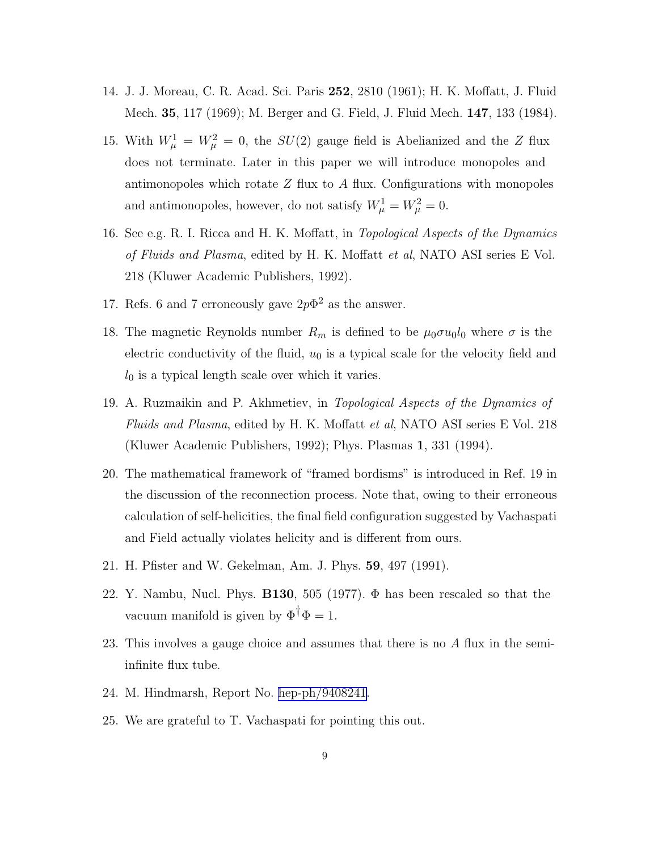- 14. J. J. Moreau, C. R. Acad. Sci. Paris 252, 2810 (1961); H. K. Moffatt, J. Fluid Mech. 35, 117 (1969); M. Berger and G. Field, J. Fluid Mech. 147, 133 (1984).
- 15. With  $W^1_\mu = W^2_\mu = 0$ , the  $SU(2)$  gauge field is Abelianized and the Z flux does not terminate. Later in this paper we will introduce monopoles and antimonopoles which rotate  $Z$  flux to  $A$  flux. Configurations with monopoles and antimonopoles, however, do not satisfy  $W^1_\mu = W^2_\mu = 0$ .
- 16. See e.g. R. I. Ricca and H. K. Moffatt, in Topological Aspects of the Dynamics of Fluids and Plasma, edited by H. K. Moffatt et al, NATO ASI series E Vol. 218 (Kluwer Academic Publishers, 1992).
- 17. Refs. 6 and 7 erroneously gave  $2p\Phi^2$  as the answer.
- 18. The magnetic Reynolds number  $R_m$  is defined to be  $\mu_0 \sigma u_0 l_0$  where  $\sigma$  is the electric conductivity of the fluid,  $u_0$  is a typical scale for the velocity field and  $l_0$  is a typical length scale over which it varies.
- 19. A. Ruzmaikin and P. Akhmetiev, in Topological Aspects of the Dynamics of Fluids and Plasma, edited by H. K. Moffatt et al, NATO ASI series E Vol. 218 (Kluwer Academic Publishers, 1992); Phys. Plasmas 1, 331 (1994).
- 20. The mathematical framework of "framed bordisms" is introduced in Ref. 19 in the discussion of the reconnection process. Note that, owing to their erroneous calculation of self-helicities, the final field configuration suggested by Vachaspati and Field actually violates helicity and is different from ours.
- 21. H. Pfister and W. Gekelman, Am. J. Phys. 59, 497 (1991).
- 22. Y. Nambu, Nucl. Phys. **B130**, 505 (1977).  $\Phi$  has been rescaled so that the vacuum manifold is given by  $\Phi^{\dagger} \Phi = 1$ .
- 23. This involves a gauge choice and assumes that there is no A flux in the semiinfinite flux tube.
- 24. M. Hindmarsh, Report No. [hep-ph/9408241](http://arxiv.org/abs/hep-ph/9408241).
- 25. We are grateful to T. Vachaspati for pointing this out.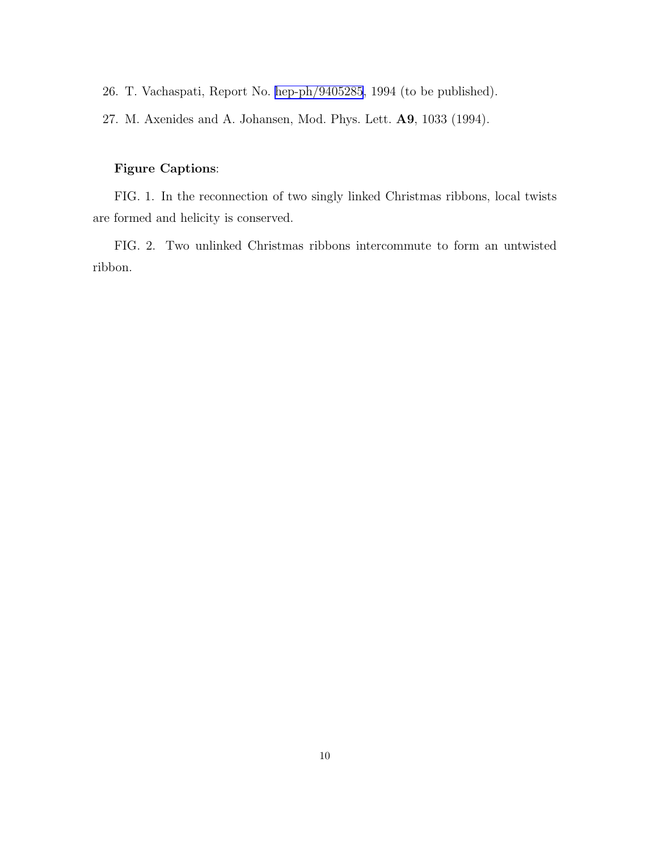26. T. Vachaspati, Report No. [hep-ph/9405285](http://arxiv.org/abs/hep-ph/9405285), 1994 (to be published).

27. M. Axenides and A. Johansen, Mod. Phys. Lett. A9, 1033 (1994).

## Figure Captions:

FIG. 1. In the reconnection of two singly linked Christmas ribbons, local twists are formed and helicity is conserved.

FIG. 2. Two unlinked Christmas ribbons intercommute to form an untwisted ribbon.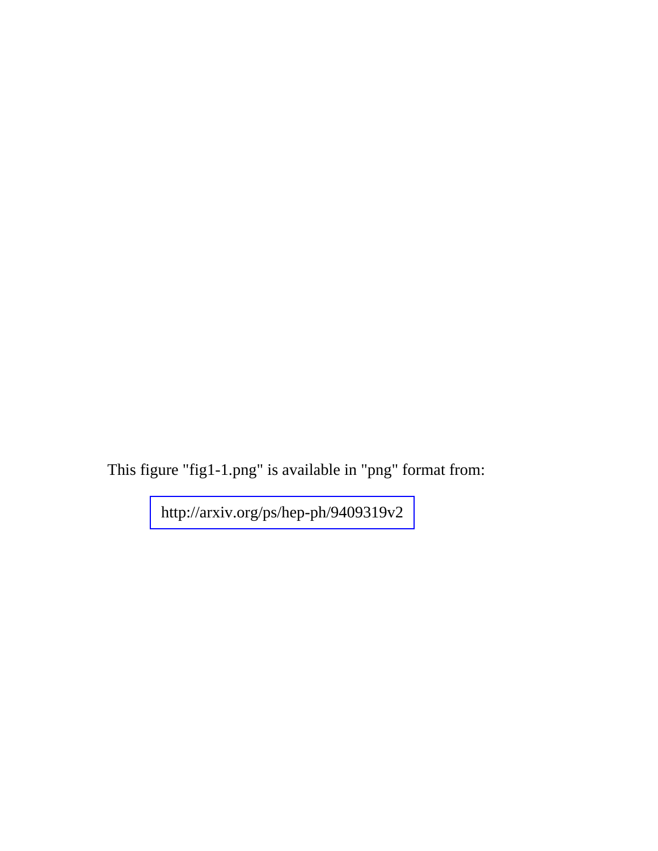This figure "fig1-1.png" is available in "png" format from: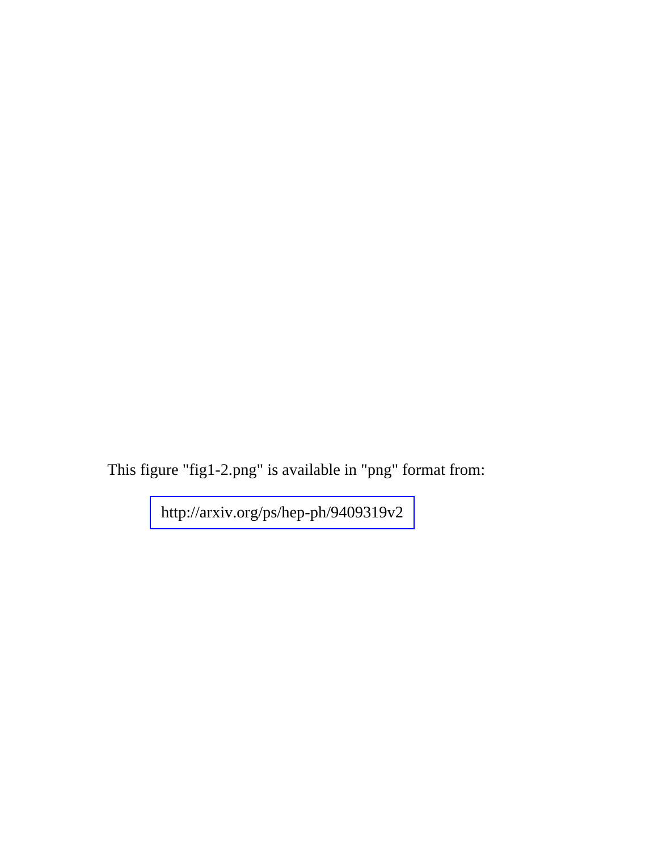This figure "fig1-2.png" is available in "png" format from: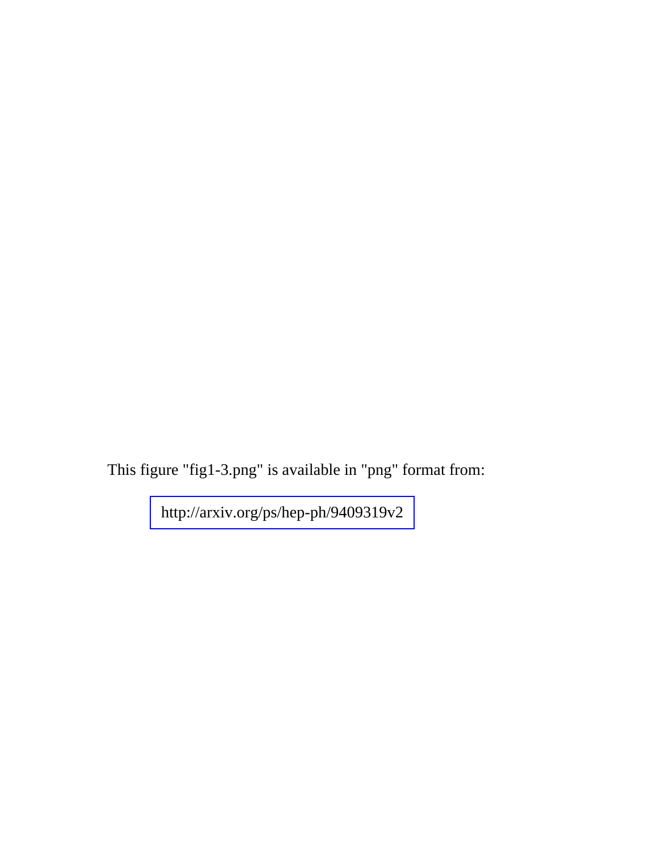This figure "fig1-3.png" is available in "png" format from: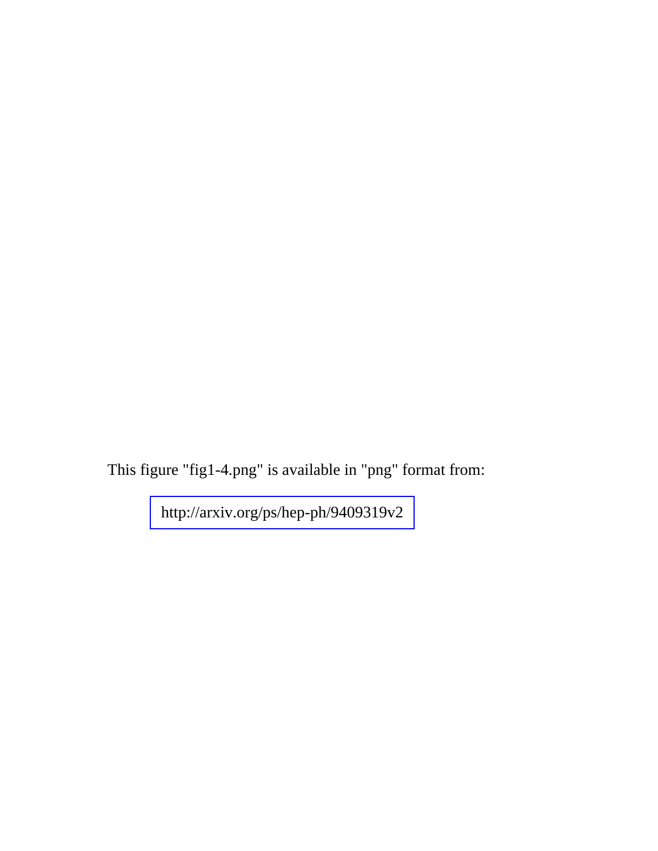This figure "fig1-4.png" is available in "png" format from: